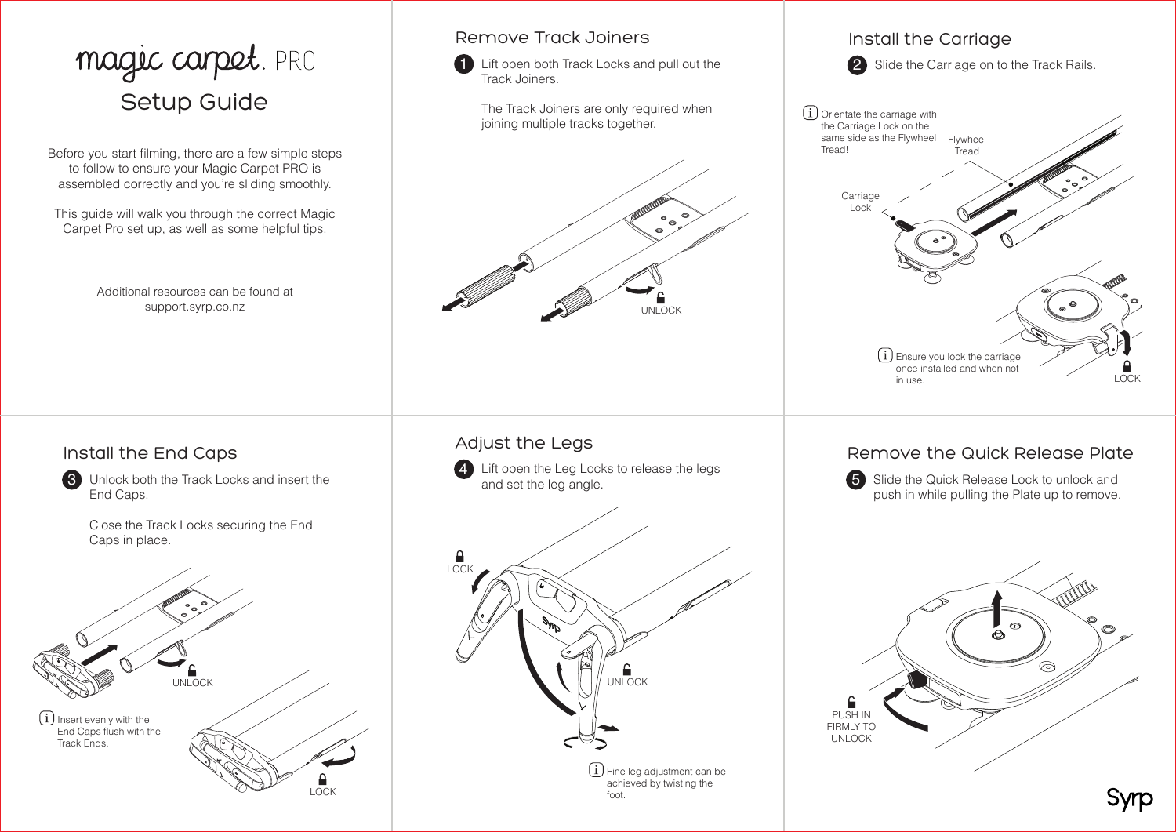# magic carpet. PRO<br>Setup Guide

Before you start filming, there are a few simple steps to follow to ensure your Magic Carpet PRO is assembled correctly and you're sliding smoothly.

This guide will walk you through the correct Magic Carpet Pro set up, as well as some helpful tips.

> Additional resources can be found at support.syrp.co.nz

#### Remove Track Joiners

1 Lift open both Track Locks and pull out the Track Joiners.

The Track Joiners are only required when joining multiple tracks together.



# Install the Carriage 2 Slide the Carriage on to the Track Rails.  $(i)$  Ensure you lock the carriage once installed and when not in use.  $(i)$  Orientate the carriage with the Carriage Lock on the same side as the Flywheel **Tread! Carriage** Lock Flywheel Tread LOCK

## Install the End Caps

**3** Unlock both the Track Locks and insert the End Caps.

> Close the Track Locks securing the End Caps in place.



## Adjust the Legs

4 Lift open the Leg Locks to release the legs and set the leg angle.



## Remove the Quick Release Plate